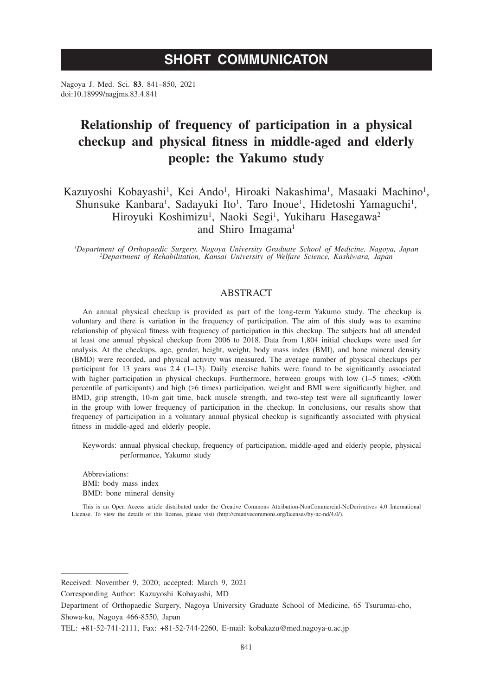# **SHORT COMMUNICATON**

Nagoya J. Med. Sci. **83**. 841–850, 2021 doi:10.18999/nagjms.83.4.841

# **Relationship of frequency of participation in a physical checkup and physical fitness in middle-aged and elderly people: the Yakumo study**

Kazuyoshi Kobayashi<sup>1</sup>, Kei Ando<sup>1</sup>, Hiroaki Nakashima<sup>1</sup>, Masaaki Machino<sup>1</sup>, Shunsuke Kanbara<sup>1</sup>, Sadayuki Ito<sup>1</sup>, Taro Inoue<sup>1</sup>, Hidetoshi Yamaguchi<sup>1</sup>, Hiroyuki Koshimizu<sup>1</sup>, Naoki Segi<sup>1</sup>, Yukiharu Hasegawa<sup>2</sup> and Shiro Imagama<sup>1</sup>

*1 Department of Orthopaedic Surgery, Nagoya University Graduate School of Medicine, Nagoya, Japan <sup>2</sup> Department of Rehabilitation, Kansai University of Welfare Science, Kashiwara, Japan*

# **ABSTRACT**

An annual physical checkup is provided as part of the long-term Yakumo study. The checkup is voluntary and there is variation in the frequency of participation. The aim of this study was to examine relationship of physical fitness with frequency of participation in this checkup. The subjects had all attended at least one annual physical checkup from 2006 to 2018. Data from 1,804 initial checkups were used for analysis. At the checkups, age, gender, height, weight, body mass index (BMI), and bone mineral density (BMD) were recorded, and physical activity was measured. The average number of physical checkups per participant for 13 years was 2.4 (1–13). Daily exercise habits were found to be significantly associated with higher participation in physical checkups. Furthermore, between groups with low (1–5 times; <90th percentile of participants) and high (≥6 times) participation, weight and BMI were significantly higher, and BMD, grip strength, 10-m gait time, back muscle strength, and two-step test were all significantly lower in the group with lower frequency of participation in the checkup. In conclusions, our results show that frequency of participation in a voluntary annual physical checkup is significantly associated with physical fitness in middle-aged and elderly people.

Keywords: annual physical checkup, frequency of participation, middle-aged and elderly people, physical performance, Yakumo study

Abbreviations: BMI: body mass index BMD: bone mineral density

This is an Open Access article distributed under the Creative Commons Attribution-NonCommercial-NoDerivatives 4.0 International License. To view the details of this license, please visit (http://creativecommons.org/licenses/by-nc-nd/4.0/).

Received: November 9, 2020; accepted: March 9, 2021

Corresponding Author: Kazuyoshi Kobayashi, MD

Department of Orthopaedic Surgery, Nagoya University Graduate School of Medicine, 65 Tsurumai-cho, Showa-ku, Nagoya 466-8550, Japan

TEL: +81-52-741-2111, Fax: +81-52-744-2260, E-mail: kobakazu@med.nagoya-u.ac.jp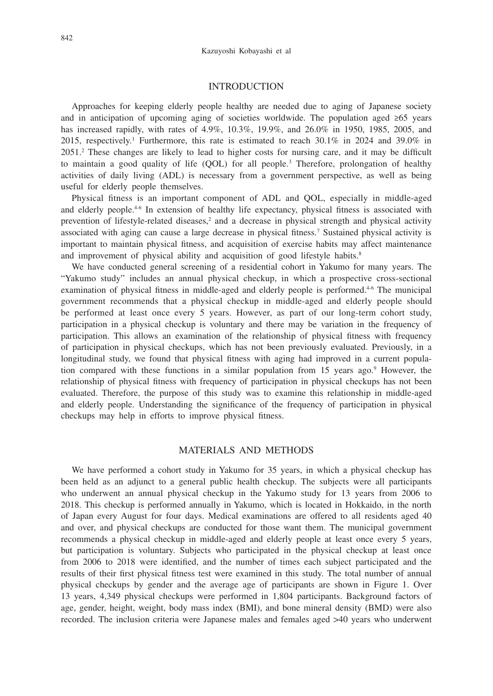### INTRODUCTION

Approaches for keeping elderly people healthy are needed due to aging of Japanese society and in anticipation of upcoming aging of societies worldwide. The population aged ≥65 years has increased rapidly, with rates of 4.9%, 10.3%, 19.9%, and 26.0% in 1950, 1985, 2005, and 2015, respectively.<sup>1</sup> Furthermore, this rate is estimated to reach  $30.1\%$  in 2024 and 39.0% in 2051.<sup>2</sup> These changes are likely to lead to higher costs for nursing care, and it may be difficult to maintain a good quality of life (QOL) for all people.<sup>3</sup> Therefore, prolongation of healthy activities of daily living (ADL) is necessary from a government perspective, as well as being useful for elderly people themselves.

Physical fitness is an important component of ADL and QOL, especially in middle-aged and elderly people.<sup>4-6</sup> In extension of healthy life expectancy, physical fitness is associated with prevention of lifestyle-related diseases,<sup>2</sup> and a decrease in physical strength and physical activity associated with aging can cause a large decrease in physical fitness.<sup>7</sup> Sustained physical activity is important to maintain physical fitness, and acquisition of exercise habits may affect maintenance and improvement of physical ability and acquisition of good lifestyle habits.<sup>8</sup>

We have conducted general screening of a residential cohort in Yakumo for many years. The "Yakumo study" includes an annual physical checkup, in which a prospective cross-sectional examination of physical fitness in middle-aged and elderly people is performed.<sup>4-6</sup> The municipal government recommends that a physical checkup in middle-aged and elderly people should be performed at least once every 5 years. However, as part of our long-term cohort study, participation in a physical checkup is voluntary and there may be variation in the frequency of participation. This allows an examination of the relationship of physical fitness with frequency of participation in physical checkups, which has not been previously evaluated. Previously, in a longitudinal study, we found that physical fitness with aging had improved in a current population compared with these functions in a similar population from 15 years ago.<sup>9</sup> However, the relationship of physical fitness with frequency of participation in physical checkups has not been evaluated. Therefore, the purpose of this study was to examine this relationship in middle-aged and elderly people. Understanding the significance of the frequency of participation in physical checkups may help in efforts to improve physical fitness.

## MATERIALS AND METHODS

We have performed a cohort study in Yakumo for 35 years, in which a physical checkup has been held as an adjunct to a general public health checkup. The subjects were all participants who underwent an annual physical checkup in the Yakumo study for 13 years from 2006 to 2018. This checkup is performed annually in Yakumo, which is located in Hokkaido, in the north of Japan every August for four days. Medical examinations are offered to all residents aged 40 and over, and physical checkups are conducted for those want them. The municipal government recommends a physical checkup in middle-aged and elderly people at least once every 5 years, but participation is voluntary. Subjects who participated in the physical checkup at least once from 2006 to 2018 were identified, and the number of times each subject participated and the results of their first physical fitness test were examined in this study. The total number of annual physical checkups by gender and the average age of participants are shown in Figure 1. Over 13 years, 4,349 physical checkups were performed in 1,804 participants. Background factors of age, gender, height, weight, body mass index (BMI), and bone mineral density (BMD) were also recorded. The inclusion criteria were Japanese males and females aged >40 years who underwent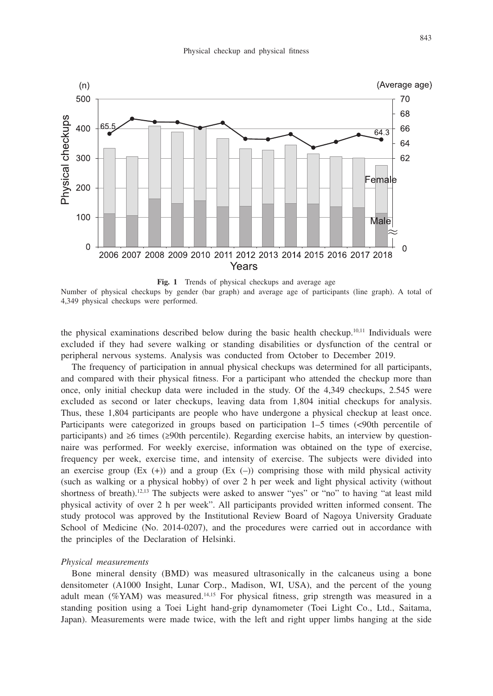

**Fig. 1** Trends of physical checkups and average age

Number of physical checkups by gender (bar graph) and average age of participants (line graph). A total of 4,349 physical checkups were performed.

the physical examinations described below during the basic health checkup.10,11 Individuals were excluded if they had severe walking or standing disabilities or dysfunction of the central or peripheral nervous systems. Analysis was conducted from October to December 2019.

The frequency of participation in annual physical checkups was determined for all participants, and compared with their physical fitness. For a participant who attended the checkup more than once, only initial checkup data were included in the study. Of the 4,349 checkups, 2.545 were excluded as second or later checkups, leaving data from 1,804 initial checkups for analysis. Thus, these 1,804 participants are people who have undergone a physical checkup at least once. Participants were categorized in groups based on participation 1–5 times (<90th percentile of participants) and ≥6 times (≥90th percentile). Regarding exercise habits, an interview by questionnaire was performed. For weekly exercise, information was obtained on the type of exercise, frequency per week, exercise time, and intensity of exercise. The subjects were divided into an exercise group  $(Ex (+))$  and a group  $(Ex (-))$  comprising those with mild physical activity (such as walking or a physical hobby) of over 2 h per week and light physical activity (without shortness of breath).<sup>12,13</sup> The subjects were asked to answer "yes" or "no" to having "at least mild physical activity of over 2 h per week". All participants provided written informed consent. The study protocol was approved by the Institutional Review Board of Nagoya University Graduate School of Medicine (No. 2014-0207), and the procedures were carried out in accordance with the principles of the Declaration of Helsinki.

#### *Physical measurements*

Bone mineral density (BMD) was measured ultrasonically in the calcaneus using a bone densitometer (A1000 Insight, Lunar Corp., Madison, WI, USA), and the percent of the young adult mean ( $\%$ YAM) was measured.<sup>14,15</sup> For physical fitness, grip strength was measured in a standing position using a Toei Light hand-grip dynamometer (Toei Light Co., Ltd., Saitama, Japan). Measurements were made twice, with the left and right upper limbs hanging at the side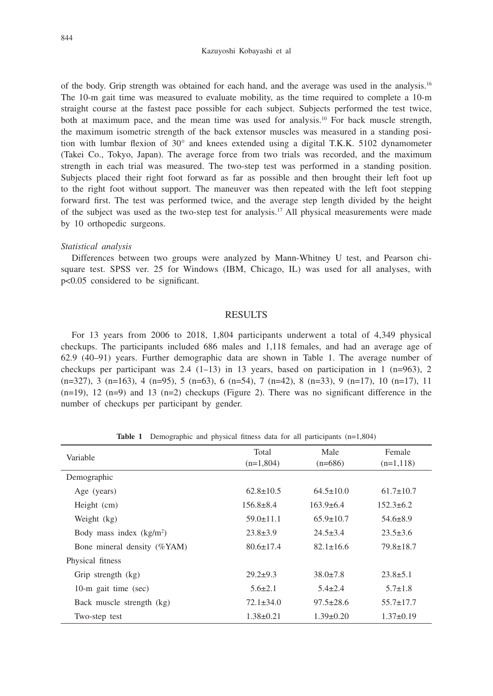of the body. Grip strength was obtained for each hand, and the average was used in the analysis.16 The 10-m gait time was measured to evaluate mobility, as the time required to complete a 10-m straight course at the fastest pace possible for each subject. Subjects performed the test twice, both at maximum pace, and the mean time was used for analysis.10 For back muscle strength, the maximum isometric strength of the back extensor muscles was measured in a standing position with lumbar flexion of 30° and knees extended using a digital T.K.K. 5102 dynamometer (Takei Co., Tokyo, Japan). The average force from two trials was recorded, and the maximum strength in each trial was measured. The two-step test was performed in a standing position. Subjects placed their right foot forward as far as possible and then brought their left foot up to the right foot without support. The maneuver was then repeated with the left foot stepping forward first. The test was performed twice, and the average step length divided by the height of the subject was used as the two-step test for analysis.17 All physical measurements were made by 10 orthopedic surgeons.

#### *Statistical analysis*

Differences between two groups were analyzed by Mann-Whitney U test, and Pearson chisquare test. SPSS ver. 25 for Windows (IBM, Chicago, IL) was used for all analyses, with p<0.05 considered to be significant.

### RESULTS

For 13 years from 2006 to 2018, 1,804 participants underwent a total of 4,349 physical checkups. The participants included 686 males and 1,118 females, and had an average age of 62.9 (40–91) years. Further demographic data are shown in Table 1. The average number of checkups per participant was 2.4 (1–13) in 13 years, based on participation in 1 (n=963), 2  $(n=327)$ , 3  $(n=163)$ , 4  $(n=95)$ , 5  $(n=63)$ , 6  $(n=54)$ , 7  $(n=42)$ , 8  $(n=33)$ , 9  $(n=17)$ , 10  $(n=17)$ , 11  $(n=19)$ , 12  $(n=9)$  and 13  $(n=2)$  checkups (Figure 2). There was no significant difference in the number of checkups per participant by gender.

**Table 1** Demographic and physical fitness data for all participants (n=1,804)

| Variable                    | Total<br>$(n=1,804)$ | Male<br>$(n=686)$ | Female<br>$(n=1,118)$ |
|-----------------------------|----------------------|-------------------|-----------------------|
| Demographic                 |                      |                   |                       |
| Age (years)                 | $62.8 \pm 10.5$      | $64.5 \pm 10.0$   | $61.7 \pm 10.7$       |
| Height (cm)                 | $156.8 \pm 8.4$      | $163.9 \pm 6.4$   | $152.3 \pm 6.2$       |
| Weight (kg)                 | $59.0 \pm 11.1$      | $65.9 \pm 10.7$   | $54.6 \pm 8.9$        |
| Body mass index $(kg/m2)$   | $23.8 \pm 3.9$       | $24.5 \pm 3.4$    | $23.5 \pm 3.6$        |
| Bone mineral density (%YAM) | $80.6 \pm 17.4$      | $82.1 \pm 16.6$   | $79.8 \pm 18.7$       |
| Physical fitness            |                      |                   |                       |
| Grip strength (kg)          | $29.2 \pm 9.3$       | $38.0 \pm 7.8$    | $23.8 \pm 5.1$        |
| 10-m gait time (sec)        | $5.6 \pm 2.1$        | $5.4 \pm 2.4$     | $5.7 \pm 1.8$         |
| Back muscle strength (kg)   | $72.1 \pm 34.0$      | $97.5 \pm 28.6$   | $55.7 \pm 17.7$       |
| Two-step test               | $1.38 \pm 0.21$      | $1.39 \pm 0.20$   | $1.37\pm0.19$         |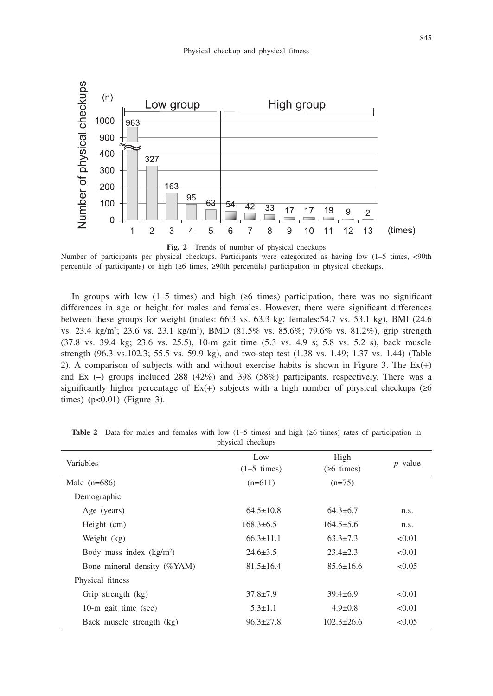

Number of participants per physical checkups. Participants were categorized as having low (1–5 times, <90th percentile of participants) or high (≥6 times, ≥90th percentile) participation in physical checkups.

In groups with low (1–5 times) and high ( $\geq 6$  times) participation, there was no significant differences in age or height for males and females. However, there were significant differences between these groups for weight (males: 66.3 vs. 63.3 kg; females:54.7 vs. 53.1 kg), BMI (24.6 vs. 23.4 kg/m<sup>2</sup>; 23.6 vs. 23.1 kg/m<sup>2</sup>), BMD (81.5% vs. 85.6%; 79.6% vs. 81.2%), grip strength (37.8 vs. 39.4 kg; 23.6 vs. 25.5), 10-m gait time (5.3 vs. 4.9 s; 5.8 vs. 5.2 s), back muscle strength (96.3 vs.102.3; 55.5 vs. 59.9 kg), and two-step test (1.38 vs. 1.49; 1.37 vs. 1.44) (Table 2). A comparison of subjects with and without exercise habits is shown in Figure 3. The  $Ex(+)$ and Ex  $(-)$  groups included 288 (42%) and 398 (58%) participants, respectively. There was a significantly higher percentage of  $Ex(+)$  subjects with a high number of physical checkups ( $\geq 6$ times)  $(p<0.01)$  (Figure 3).

| Variables                   | Low<br>$(1-5 \times)$ | High<br>$(26 \times)$ | $p$ value |
|-----------------------------|-----------------------|-----------------------|-----------|
| Male $(n=686)$              | $(n=611)$             | $(n=75)$              |           |
| Demographic                 |                       |                       |           |
| Age (years)                 | $64.5 \pm 10.8$       | $64.3 \pm 6.7$        | n.s.      |
| Height (cm)                 | $168.3\pm 6.5$        | $164.5 \pm 5.6$       | n.s.      |
| Weight (kg)                 | $66.3 \pm 11.1$       | $63.3 \pm 7.3$        | < 0.01    |
| Body mass index $(kg/m2)$   | $24.6 \pm 3.5$        | $23.4 \pm 2.3$        | < 0.01    |
| Bone mineral density (%YAM) | $81.5 \pm 16.4$       | $85.6 \pm 16.6$       | < 0.05    |
| Physical fitness            |                       |                       |           |
| Grip strength (kg)          | $37.8 \pm 7.9$        | $39.4 \pm 6.9$        | < 0.01    |
| 10-m gait time (sec)        | $5.3 \pm 1.1$         | $4.9 \pm 0.8$         | < 0.01    |
| Back muscle strength (kg)   | $96.3 \pm 27.8$       | $102.3 \pm 26.6$      | < 0.05    |

**Table 2** Data for males and females with low (1–5 times) and high (≥6 times) rates of participation in physical checkups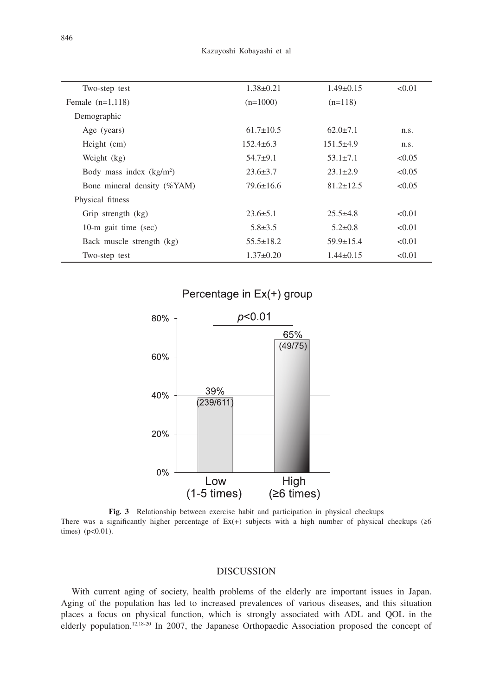| Two-step test               | $1.38 \pm 0.21$ | $1.49\pm0.15$   | < 0.01 |
|-----------------------------|-----------------|-----------------|--------|
| Female $(n=1,118)$          | $(n=1000)$      | $(n=118)$       |        |
| Demographic                 |                 |                 |        |
| Age (years)                 | $61.7 \pm 10.5$ | $62.0 \pm 7.1$  | n.s.   |
| Height (cm)                 | $152.4\pm 6.3$  | $151.5+4.9$     | n.s.   |
| Weight (kg)                 | $54.7+9.1$      | $53.1 \pm 7.1$  | < 0.05 |
| Body mass index $(kg/m2)$   | $23.6 \pm 3.7$  | $23.1 \pm 2.9$  | < 0.05 |
| Bone mineral density (%YAM) | $79.6 \pm 16.6$ | $81.2 \pm 12.5$ | < 0.05 |
| Physical fitness            |                 |                 |        |
| Grip strength (kg)          | $23.6 \pm 5.1$  | $25.5 + 4.8$    | < 0.01 |
| 10-m gait time (sec)        | $5.8 \pm 3.5$   | $5.2 \pm 0.8$   | < 0.01 |
| Back muscle strength (kg)   | $55.5 \pm 18.2$ | $59.9 \pm 15.4$ | < 0.01 |
| Two-step test               | $1.37 \pm 0.20$ | $1.44\pm 0.15$  | < 0.01 |



**Fig. 3** Relationship between exercise habit and participation in physical checkups There was a significantly higher percentage of Ex(+) subjects with a high number of physical checkups (≥6 times) (p<0.01).

## DISCUSSION

With current aging of society, health problems of the elderly are important issues in Japan. Aging of the population has led to increased prevalences of various diseases, and this situation places a focus on physical function, which is strongly associated with ADL and QOL in the elderly population.<sup>12,18-20</sup> In 2007, the Japanese Orthopaedic Association proposed the concept of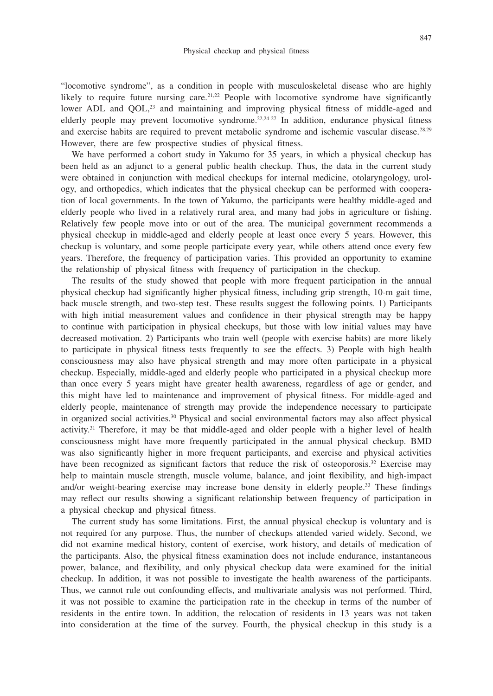"locomotive syndrome", as a condition in people with musculoskeletal disease who are highly likely to require future nursing care.<sup>21,22</sup> People with locomotive syndrome have significantly lower ADL and QOL,<sup>23</sup> and maintaining and improving physical fitness of middle-aged and elderly people may prevent locomotive syndrome.<sup>22,24-27</sup> In addition, endurance physical fitness and exercise habits are required to prevent metabolic syndrome and ischemic vascular disease.<sup>28,29</sup> However, there are few prospective studies of physical fitness.

We have performed a cohort study in Yakumo for 35 years, in which a physical checkup has been held as an adjunct to a general public health checkup. Thus, the data in the current study were obtained in conjunction with medical checkups for internal medicine, otolaryngology, urology, and orthopedics, which indicates that the physical checkup can be performed with cooperation of local governments. In the town of Yakumo, the participants were healthy middle-aged and elderly people who lived in a relatively rural area, and many had jobs in agriculture or fishing. Relatively few people move into or out of the area. The municipal government recommends a physical checkup in middle-aged and elderly people at least once every 5 years. However, this checkup is voluntary, and some people participate every year, while others attend once every few years. Therefore, the frequency of participation varies. This provided an opportunity to examine the relationship of physical fitness with frequency of participation in the checkup.

The results of the study showed that people with more frequent participation in the annual physical checkup had significantly higher physical fitness, including grip strength, 10-m gait time, back muscle strength, and two-step test. These results suggest the following points. 1) Participants with high initial measurement values and confidence in their physical strength may be happy to continue with participation in physical checkups, but those with low initial values may have decreased motivation. 2) Participants who train well (people with exercise habits) are more likely to participate in physical fitness tests frequently to see the effects. 3) People with high health consciousness may also have physical strength and may more often participate in a physical checkup. Especially, middle-aged and elderly people who participated in a physical checkup more than once every 5 years might have greater health awareness, regardless of age or gender, and this might have led to maintenance and improvement of physical fitness. For middle-aged and elderly people, maintenance of strength may provide the independence necessary to participate in organized social activities.<sup>30</sup> Physical and social environmental factors may also affect physical activity.31 Therefore, it may be that middle-aged and older people with a higher level of health consciousness might have more frequently participated in the annual physical checkup. BMD was also significantly higher in more frequent participants, and exercise and physical activities have been recognized as significant factors that reduce the risk of osteoporosis.<sup>32</sup> Exercise may help to maintain muscle strength, muscle volume, balance, and joint flexibility, and high-impact and/or weight-bearing exercise may increase bone density in elderly people.<sup>33</sup> These findings may reflect our results showing a significant relationship between frequency of participation in a physical checkup and physical fitness.

The current study has some limitations. First, the annual physical checkup is voluntary and is not required for any purpose. Thus, the number of checkups attended varied widely. Second, we did not examine medical history, content of exercise, work history, and details of medication of the participants. Also, the physical fitness examination does not include endurance, instantaneous power, balance, and flexibility, and only physical checkup data were examined for the initial checkup. In addition, it was not possible to investigate the health awareness of the participants. Thus, we cannot rule out confounding effects, and multivariate analysis was not performed. Third, it was not possible to examine the participation rate in the checkup in terms of the number of residents in the entire town. In addition, the relocation of residents in 13 years was not taken into consideration at the time of the survey. Fourth, the physical checkup in this study is a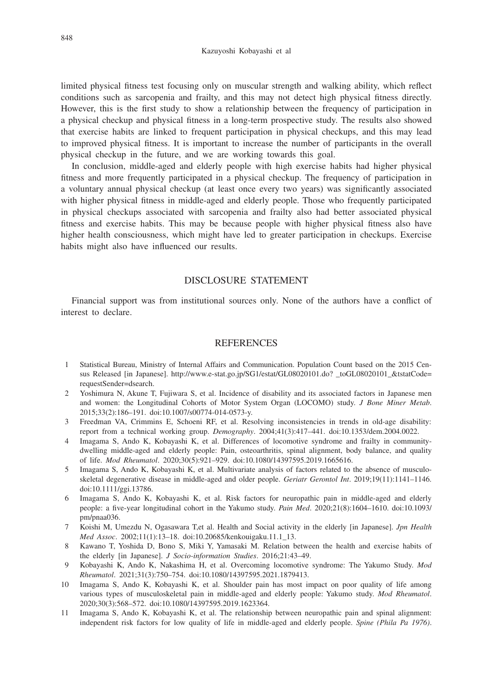limited physical fitness test focusing only on muscular strength and walking ability, which reflect conditions such as sarcopenia and frailty, and this may not detect high physical fitness directly. However, this is the first study to show a relationship between the frequency of participation in a physical checkup and physical fitness in a long-term prospective study. The results also showed that exercise habits are linked to frequent participation in physical checkups, and this may lead to improved physical fitness. It is important to increase the number of participants in the overall physical checkup in the future, and we are working towards this goal.

In conclusion, middle-aged and elderly people with high exercise habits had higher physical fitness and more frequently participated in a physical checkup. The frequency of participation in a voluntary annual physical checkup (at least once every two years) was significantly associated with higher physical fitness in middle-aged and elderly people. Those who frequently participated in physical checkups associated with sarcopenia and frailty also had better associated physical fitness and exercise habits. This may be because people with higher physical fitness also have higher health consciousness, which might have led to greater participation in checkups. Exercise habits might also have influenced our results.

## DISCLOSURE STATEMENT

Financial support was from institutional sources only. None of the authors have a conflict of interest to declare.

#### REFERENCES

- 1 Statistical Bureau, Ministry of Internal Affairs and Communication. Population Count based on the 2015 Census Released [in Japanese]. http://www.e-stat.go.jp/SG1/estat/GL08020101.do? \_toGL08020101\_&tstatCode= requestSender=dsearch.
- 2 Yoshimura N, Akune T, Fujiwara S, et al. Incidence of disability and its associated factors in Japanese men and women: the Longitudinal Cohorts of Motor System Organ (LOCOMO) study. *J Bone Miner Metab*. 2015;33(2):186–191. doi:10.1007/s00774-014-0573-y.
- 3 Freedman VA, Crimmins E, Schoeni RF, et al. Resolving inconsistencies in trends in old-age disability: report from a technical working group. *Demography*. 2004;41(3):417–441. doi:10.1353/dem.2004.0022.
- 4 Imagama S, Ando K, Kobayashi K, et al. Differences of locomotive syndrome and frailty in communitydwelling middle-aged and elderly people: Pain, osteoarthritis, spinal alignment, body balance, and quality of life. *Mod Rheumatol*. 2020;30(5):921–929. doi:10.1080/14397595.2019.1665616.
- 5 Imagama S, Ando K, Kobayashi K, et al. Multivariate analysis of factors related to the absence of musculoskeletal degenerative disease in middle-aged and older people. *Geriatr Gerontol Int*. 2019;19(11):1141–1146. doi:10.1111/ggi.13786.
- 6 Imagama S, Ando K, Kobayashi K, et al. Risk factors for neuropathic pain in middle-aged and elderly people: a five-year longitudinal cohort in the Yakumo study. *Pain Med*. 2020;21(8):1604–1610. doi:10.1093/ pm/pnaa036.
- 7 Koishi M, Umezdu N, Ogasawara T,et al. Health and Social activity in the elderly [in Japanese]. *Jpn Health Med Assoc*. 2002;11(1):13–18. doi:10.20685/kenkouigaku.11.1\_13.
- 8 Kawano T, Yoshida D, Bono S, Miki Y, Yamasaki M. Relation between the health and exercise habits of the elderly [in Japanese]. *J Socio-information Studies*. 2016;21:43–49.
- 9 Kobayashi K, Ando K, Nakashima H, et al. Overcoming locomotive syndrome: The Yakumo Study. *Mod Rheumatol*. 2021;31(3):750–754. doi:10.1080/14397595.2021.1879413.
- 10 Imagama S, Ando K, Kobayashi K, et al. Shoulder pain has most impact on poor quality of life among various types of musculoskeletal pain in middle-aged and elderly people: Yakumo study. *Mod Rheumatol*. 2020;30(3):568–572. doi:10.1080/14397595.2019.1623364.
- 11 Imagama S, Ando K, Kobayashi K, et al. The relationship between neuropathic pain and spinal alignment: independent risk factors for low quality of life in middle-aged and elderly people. *Spine (Phila Pa 1976)*.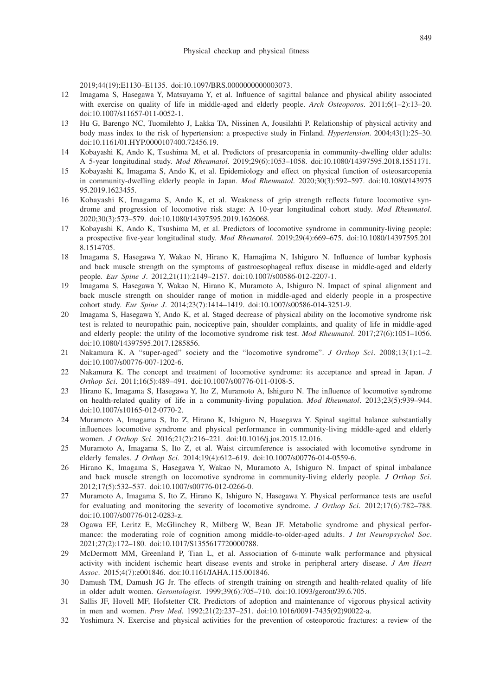2019;44(19):E1130–E1135. doi:10.1097/BRS.0000000000003073.

- 12 Imagama S, Hasegawa Y, Matsuyama Y, et al. Influence of sagittal balance and physical ability associated with exercise on quality of life in middle-aged and elderly people. *Arch Osteoporos*. 2011;6(1–2):13–20. doi:10.1007/s11657-011-0052-1.
- 13 Hu G, Barengo NC, Tuomilehto J, Lakka TA, Nissinen A, Jousilahti P. Relationship of physical activity and body mass index to the risk of hypertension: a prospective study in Finland. *Hypertension*. 2004;43(1):25–30. doi:10.1161/01.HYP.0000107400.72456.19.
- 14 Kobayashi K, Ando K, Tsushima M, et al. Predictors of presarcopenia in community-dwelling older adults: A 5-year longitudinal study. *Mod Rheumatol*. 2019;29(6):1053–1058. doi:10.1080/14397595.2018.1551171.
- 15 Kobayashi K, Imagama S, Ando K, et al. Epidemiology and effect on physical function of osteosarcopenia in community-dwelling elderly people in Japan. *Mod Rheumatol*. 2020;30(3):592–597. doi:10.1080/143975 95.2019.1623455.
- 16 Kobayashi K, Imagama S, Ando K, et al. Weakness of grip strength reflects future locomotive syndrome and progression of locomotive risk stage: A 10-year longitudinal cohort study. *Mod Rheumatol*. 2020;30(3):573–579. doi:10.1080/14397595.2019.1626068.
- 17 Kobayashi K, Ando K, Tsushima M, et al. Predictors of locomotive syndrome in community-living people: a prospective five-year longitudinal study. *Mod Rheumatol*. 2019;29(4):669–675. doi:10.1080/14397595.201 8.1514705.
- 18 Imagama S, Hasegawa Y, Wakao N, Hirano K, Hamajima N, Ishiguro N. Influence of lumbar kyphosis and back muscle strength on the symptoms of gastroesophageal reflux disease in middle-aged and elderly people. *Eur Spine J*. 2012,21(11):2149–2157. doi:10.1007/s00586-012-2207-1.
- 19 Imagama S, Hasegawa Y, Wakao N, Hirano K, Muramoto A, Ishiguro N. Impact of spinal alignment and back muscle strength on shoulder range of motion in middle-aged and elderly people in a prospective cohort study. *Eur Spine J*. 2014;23(7):1414–1419. doi:10.1007/s00586-014-3251-9.
- 20 Imagama S, Hasegawa Y, Ando K, et al. Staged decrease of physical ability on the locomotive syndrome risk test is related to neuropathic pain, nociceptive pain, shoulder complaints, and quality of life in middle-aged and elderly people: the utility of the locomotive syndrome risk test. *Mod Rheumatol*. 2017;27(6):1051–1056. doi:10.1080/14397595.2017.1285856.
- 21 Nakamura K. A "super-aged" society and the "locomotive syndrome". *J Orthop Sci*. 2008;13(1):1–2. doi:10.1007/s00776-007-1202-6.
- 22 Nakamura K. The concept and treatment of locomotive syndrome: its acceptance and spread in Japan. *J Orthop Sci*. 2011;16(5):489–491. doi:10.1007/s00776-011-0108-5.
- 23 Hirano K, Imagama S, Hasegawa Y, Ito Z, Muramoto A, Ishiguro N. The influence of locomotive syndrome on health-related quality of life in a community-living population. *Mod Rheumatol*. 2013;23(5):939–944. doi:10.1007/s10165-012-0770-2.
- 24 Muramoto A, Imagama S, Ito Z, Hirano K, Ishiguro N, Hasegawa Y. Spinal sagittal balance substantially influences locomotive syndrome and physical performance in community-living middle-aged and elderly women. *J Orthop Sci*. 2016;21(2):216–221. doi:10.1016/j.jos.2015.12.016.
- 25 Muramoto A, Imagama S, Ito Z, et al. Waist circumference is associated with locomotive syndrome in elderly females. *J Orthop Sci*. 2014;19(4):612–619. doi:10.1007/s00776-014-0559-6.
- 26 Hirano K, Imagama S, Hasegawa Y, Wakao N, Muramoto A, Ishiguro N. Impact of spinal imbalance and back muscle strength on locomotive syndrome in community-living elderly people. *J Orthop Sci*. 2012;17(5):532–537. doi:10.1007/s00776-012-0266-0.
- 27 Muramoto A, Imagama S, Ito Z, Hirano K, Ishiguro N, Hasegawa Y. Physical performance tests are useful for evaluating and monitoring the severity of locomotive syndrome. *J Orthop Sci*. 2012;17(6):782–788. doi:10.1007/s00776-012-0283-z.
- 28 Ogawa EF, Leritz E, McGlinchey R, Milberg W, Bean JF. Metabolic syndrome and physical performance: the moderating role of cognition among middle-to-older-aged adults. *J Int Neuropsychol Soc*. 2021;27(2):172–180. doi:10.1017/S1355617720000788.
- 29 McDermott MM, Greenland P, Tian L, et al. Association of 6-minute walk performance and physical activity with incident ischemic heart disease events and stroke in peripheral artery disease. *J Am Heart Assoc*. 2015;4(7):e001846. doi:10.1161/JAHA.115.001846.
- 30 Damush TM, Damush JG Jr. The effects of strength training on strength and health-related quality of life in older adult women. *Gerontologist*. 1999;39(6):705–710. doi:10.1093/geront/39.6.705.
- 31 Sallis JF, Hovell MF, Hofstetter CR. Predictors of adoption and maintenance of vigorous physical activity in men and women. *Prev Med*. 1992;21(2):237–251. doi:10.1016/0091-7435(92)90022-a.
- 32 Yoshimura N. Exercise and physical activities for the prevention of osteoporotic fractures: a review of the